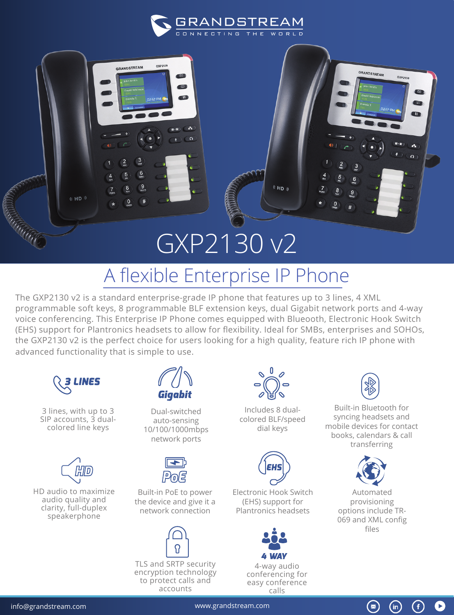

GRANDSTREAM

 $\overline{0}$ 

 $\blacksquare$ 

**COL**  $\blacksquare$ 

> **Color**  $\sqrt{2}$

## GXP2130 v2

## A flexible Enterprise IP Phone

The GXP2130 v2 is a standard enterprise-grade IP phone that features up to 3 lines, 4 XML programmable soft keys, 8 programmable BLF extension keys, dual Gigabit network ports and 4-way voice conferencing. This Enterprise IP Phone comes equipped with Blueooth, Electronic Hook Switch (EHS) support for Plantronics headsets to allow for flexibility. Ideal for SMBs, enterprises and SOHOs, the GXP2130 v2 is the perfect choice for users looking for a high quality, feature rich IP phone with advanced functionality that is simple to use.



(KHD)

3 lines, with up to 3 SIP accounts, 3 dualcolored line keys



HD audio to maximize audio quality and clarity, full-duplex speakerphone



Dual-switched auto-sensing 10/100/1000mbps network ports



Built-in PoE to power the device and give it a network connection



TLS and SRTP security encryption technology accounts



**KHD** 

Includes 8 dualcolored BLF/speed dial keys



Electronic Hook Switch (EHS) support for Plantronics headsets







GRANDSTREAM

 $GXP<sub>212c</sub>$ 

m Œ

A  $\Omega$ 

Built-in Bluetooth for syncing headsets and mobile devices for contact books, calendars & call transferring



Automated provisioning options include TR-069 and XML config files

 $\circledast$ 

 $(in)$ 

G)